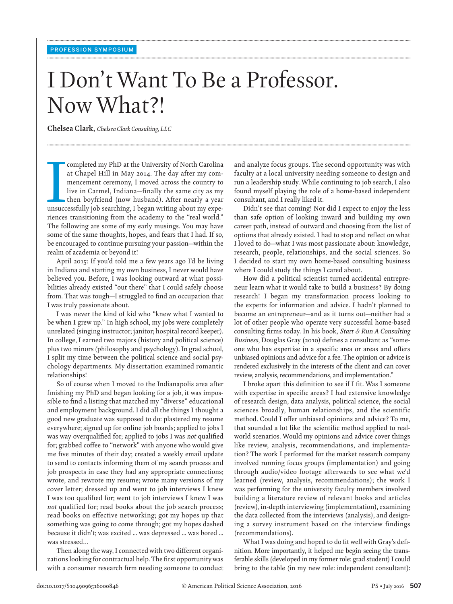# I Don't Want To Be a Professor. Now What?!

**........................................................................................................................................................................................................................................................................................................**

**........................................................................................................................................................................................................................................................................................................**

**........................................................................................................................................................................................................................................................................................................**

 **Chelsea Clark ,** *Chelsea Clark Consulting , LLC* 

completed my PhD at the University of North Carolina<br>
at Chapel Hill in May 2014. The day after my com-<br>
mencement ceremony, I moved across the country to<br>
live in Carmel, Indiana–finally the same city as my<br>
then boyfrien at Chapel Hill in May 2014. The day after my commencement ceremony, I moved across the country to live in Carmel, Indiana—finally the same city as my then boyfriend (now husband). After nearly a year riences transitioning from the academy to the "real world." The following are some of my early musings. You may have some of the same thoughts, hopes, and fears that I had. If so, be encouraged to continue pursuing your passion—within the realm of academia or beyond it!

 April 2015: If you'd told me a few years ago I'd be living in Indiana and starting my own business, I never would have believed you. Before, I was looking outward at what possibilities already existed "out there" that I could safely choose from. That was tough-I struggled to find an occupation that I was truly passionate about.

 I was never the kind of kid who "knew what I wanted to be when I grew up." In high school, my jobs were completely unrelated (singing instructor; janitor; hospital record keeper). In college, I earned two majors (history and political science) plus two minors (philosophy and psychology). In grad school, I split my time between the political science and social psychology departments. My dissertation examined romantic relationships!

 So of course when I moved to the Indianapolis area after finishing my PhD and began looking for a job, it was impossible to find a listing that matched my "diverse" educational and employment background. I did all the things I thought a good new graduate was supposed to do: plastered my resume everywhere; signed up for online job boards; applied to jobs I was way overqualified for; applied to jobs I was *not* qualified for; grabbed coffee to "network" with anyone who would give me five minutes of their day; created a weekly email update to send to contacts informing them of my search process and job prospects in case they had any appropriate connections; wrote, and rewrote my resume; wrote many versions of my cover letter; dressed up and went to job interviews I knew I was too qualified for; went to job interviews I knew I was *not* qualified for; read books about the job search process; read books on effective networking; got my hopes up that something was going to come through; got my hopes dashed because it didn't; was excited ... was depressed ... was bored ... was stressed…

Then along the way, I connected with two different organizations looking for contractual help. The first opportunity was with a consumer research firm needing someone to conduct and analyze focus groups. The second opportunity was with faculty at a local university needing someone to design and run a leadership study. While continuing to job search, I also found myself playing the role of a home-based independent consultant, and I really liked it.

 Didn't see that coming! Nor did I expect to enjoy the less than safe option of looking inward and building my own career path, instead of outward and choosing from the list of options that already existed. I had to stop and reflect on what I loved to do—what I was most passionate about: knowledge, research, people, relationships, and the social sciences. So I decided to start my own home-based consulting business where I could study the things I cared about.

 How did a political scientist turned accidental entrepreneur learn what it would take to build a business? By doing research! I began my transformation process looking to the experts for information and advice. I hadn't planned to become an entrepreneur—and as it turns out—neither had a lot of other people who operate very successful home-based consulting firms today. In his book, *Start & Run A Consulting* Business, Douglas Gray (2010) defines a consultant as "someone who has expertise in a specific area or areas and offers unbiased opinions and advice for a fee. The opinion or advice is rendered exclusively in the interests of the client and can cover review, analysis, recommendations, and implementation."

I broke apart this definition to see if I fit. Was I someone with expertise in specific areas? I had extensive knowledge of research design, data analysis, political science, the social sciences broadly, human relationships, and the scientific method. Could I offer unbiased opinions and advice? To me, that sounded a lot like the scientific method applied to realworld scenarios. Would my opinions and advice cover things like review, analysis, recommendations, and implementation? The work I performed for the market research company involved running focus groups (implementation) and going through audio/video footage afterwards to see what we'd learned (review, analysis, recommendations); the work I was performing for the university faculty members involved building a literature review of relevant books and articles (review), in-depth interviewing (implementation), examining the data collected from the interviews (analysis), and designing a survey instrument based on the interview findings (recommendations).

What I was doing and hoped to do fit well with Gray's definition. More importantly, it helped me begin seeing the transferable skills (developed in my former role: grad student) I could bring to the table (in my new role: independent consultant):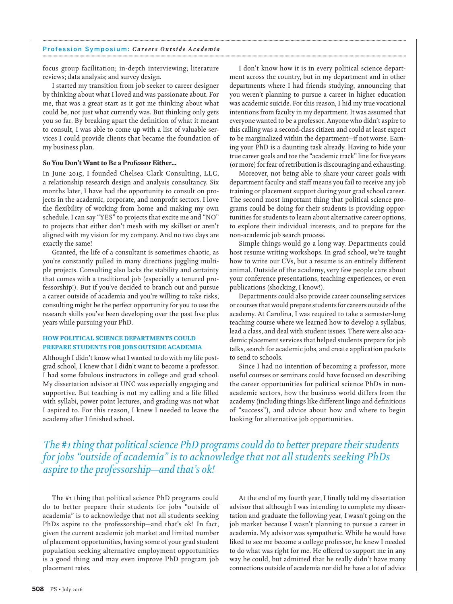focus group facilitation; in-depth interviewing; literature reviews; data analysis; and survey design.

 I started my transition from job seeker to career designer by thinking about what I loved and was passionate about. For me, that was a great start as it got me thinking about what could be, not just what currently was. But thinking only gets you so far. By breaking apart the definition of what it meant to consult, I was able to come up with a list of valuable services I could provide clients that became the foundation of my business plan.

### **So You Don't Want to Be a Professor Either...**

 In June 2015, I founded Chelsea Clark Consulting, LLC, a relationship research design and analysis consultancy. Six months later, I have had the opportunity to consult on projects in the academic, corporate, and nonprofit sectors. I love the flexibility of working from home and making my own schedule. I can say "YES" to projects that excite me and "NO" to projects that either don't mesh with my skillset or aren't aligned with my vision for my company. And no two days are exactly the same!

 Granted, the life of a consultant is sometimes chaotic, as you're constantly pulled in many directions juggling multiple projects. Consulting also lacks the stability and certainty that comes with a traditional job (especially a tenured professorship!). But if you've decided to branch out and pursue a career outside of academia and you're willing to take risks, consulting might be the perfect opportunity for you to use the research skills you've been developing over the past five plus years while pursuing your PhD.

## **HOW POLITICAL SCIENCE DEPARTMENTS COULD PREPARE STUDENTS FOR JOBS OUTSIDE ACADEMIA**

 Although I didn't know what I wanted to do with my life postgrad school, I knew that I didn't want to become a professor. I had some fabulous instructors in college and grad school. My dissertation advisor at UNC was especially engaging and supportive. But teaching is not my calling and a life filled with syllabi, power point lectures, and grading was not what I aspired to. For this reason, I knew I needed to leave the academy after I finished school.

 I don't know how it is in every political science department across the country, but in my department and in other departments where I had friends studying, announcing that you weren't planning to pursue a career in higher education was academic suicide. For this reason, I hid my true vocational intentions from faculty in my department. It was assumed that everyone wanted to be a professor. Anyone who didn't aspire to this calling was a second-class citizen and could at least expect to be marginalized within the department—if not worse. Earning your PhD is a daunting task already. Having to hide your true career goals and toe the "academic track" line for five years (or more) for fear of retribution is discouraging and exhausting.

 Moreover, not being able to share your career goals with department faculty and staff means you fail to receive any job training or placement support during your grad school career. The second most important thing that political science programs could be doing for their students is providing opportunities for students to learn about alternative career options, to explore their individual interests, and to prepare for the non-academic job search process.

 Simple things would go a long way. Departments could host resume writing workshops. In grad school, we're taught how to write our CVs, but a resume is an entirely different animal. Outside of the academy, very few people care about your conference presentations, teaching experiences, or even publications (shocking, I know!).

 Departments could also provide career counseling services or courses that would prepare students for careers outside of the academy. At Carolina, I was required to take a semester-long teaching course where we learned how to develop a syllabus, lead a class, and deal with student issues. There were also academic placement services that helped students prepare for job talks, search for academic jobs, and create application packets to send to schools.

 Since I had no intention of becoming a professor, more useful courses or seminars could have focused on describing the career opportunities for political science PhDs in nonacademic sectors, how the business world differs from the academy (including things like different lingo and definitions of "success"), and advice about how and where to begin looking for alternative job opportunities.

# *The #1 thing that political science PhD programs could do to better prepare their students for jobs "outside of academia" is to acknowledge that not all students seeking PhDs aspire to the professorship—and that's ok!*

**........................................................................................................................................................................................................................................................................................................**

 The #1 thing that political science PhD programs could do to better prepare their students for jobs "outside of academia" is to acknowledge that not all students seeking PhDs aspire to the professorship—and that's ok! In fact, given the current academic job market and limited number of placement opportunities, having some of your grad student population seeking alternative employment opportunities is a good thing and may even improve PhD program job placement rates.

At the end of my fourth year, I finally told my dissertation advisor that although I was intending to complete my dissertation and graduate the following year, I wasn't going on the job market because I wasn't planning to pursue a career in academia. My advisor was sympathetic. While he would have liked to see me become a college professor, he knew I needed to do what was right for me. He offered to support me in any way he could, but admitted that he really didn't have many connections outside of academia nor did he have a lot of advice